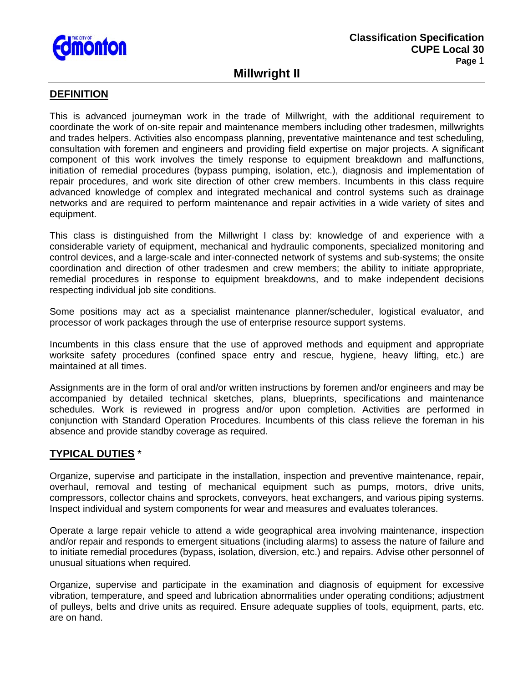

# **Millwright II**

### **DEFINITION**

This is advanced journeyman work in the trade of Millwright, with the additional requirement to coordinate the work of on-site repair and maintenance members including other tradesmen, millwrights and trades helpers. Activities also encompass planning, preventative maintenance and test scheduling, consultation with foremen and engineers and providing field expertise on major projects. A significant component of this work involves the timely response to equipment breakdown and malfunctions, initiation of remedial procedures (bypass pumping, isolation, etc.), diagnosis and implementation of repair procedures, and work site direction of other crew members. Incumbents in this class require advanced knowledge of complex and integrated mechanical and control systems such as drainage networks and are required to perform maintenance and repair activities in a wide variety of sites and equipment.

This class is distinguished from the Millwright I class by: knowledge of and experience with a considerable variety of equipment, mechanical and hydraulic components, specialized monitoring and control devices, and a large-scale and inter-connected network of systems and sub-systems; the onsite coordination and direction of other tradesmen and crew members; the ability to initiate appropriate, remedial procedures in response to equipment breakdowns, and to make independent decisions respecting individual job site conditions.

Some positions may act as a specialist maintenance planner/scheduler, logistical evaluator, and processor of work packages through the use of enterprise resource support systems.

Incumbents in this class ensure that the use of approved methods and equipment and appropriate worksite safety procedures (confined space entry and rescue, hygiene, heavy lifting, etc.) are maintained at all times.

Assignments are in the form of oral and/or written instructions by foremen and/or engineers and may be accompanied by detailed technical sketches, plans, blueprints, specifications and maintenance schedules. Work is reviewed in progress and/or upon completion. Activities are performed in conjunction with Standard Operation Procedures. Incumbents of this class relieve the foreman in his absence and provide standby coverage as required.

### **TYPICAL DUTIES** \*

Organize, supervise and participate in the installation, inspection and preventive maintenance, repair, overhaul, removal and testing of mechanical equipment such as pumps, motors, drive units, compressors, collector chains and sprockets, conveyors, heat exchangers, and various piping systems. Inspect individual and system components for wear and measures and evaluates tolerances.

Operate a large repair vehicle to attend a wide geographical area involving maintenance, inspection and/or repair and responds to emergent situations (including alarms) to assess the nature of failure and to initiate remedial procedures (bypass, isolation, diversion, etc.) and repairs. Advise other personnel of unusual situations when required.

Organize, supervise and participate in the examination and diagnosis of equipment for excessive vibration, temperature, and speed and lubrication abnormalities under operating conditions; adjustment of pulleys, belts and drive units as required. Ensure adequate supplies of tools, equipment, parts, etc. are on hand.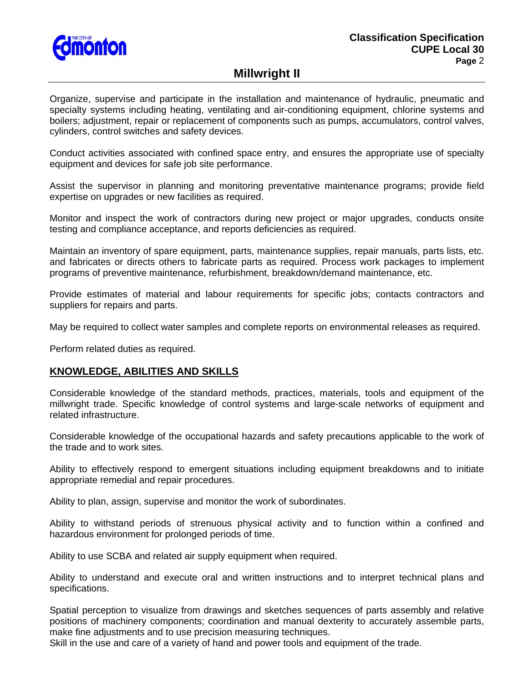

# **Millwright II**

Organize, supervise and participate in the installation and maintenance of hydraulic, pneumatic and specialty systems including heating, ventilating and air-conditioning equipment, chlorine systems and boilers; adjustment, repair or replacement of components such as pumps, accumulators, control valves, cylinders, control switches and safety devices.

Conduct activities associated with confined space entry, and ensures the appropriate use of specialty equipment and devices for safe job site performance.

Assist the supervisor in planning and monitoring preventative maintenance programs; provide field expertise on upgrades or new facilities as required.

Monitor and inspect the work of contractors during new project or major upgrades, conducts onsite testing and compliance acceptance, and reports deficiencies as required.

Maintain an inventory of spare equipment, parts, maintenance supplies, repair manuals, parts lists, etc. and fabricates or directs others to fabricate parts as required. Process work packages to implement programs of preventive maintenance, refurbishment, breakdown/demand maintenance, etc.

Provide estimates of material and labour requirements for specific jobs; contacts contractors and suppliers for repairs and parts.

May be required to collect water samples and complete reports on environmental releases as required.

Perform related duties as required.

#### **KNOWLEDGE, ABILITIES AND SKILLS**

Considerable knowledge of the standard methods, practices, materials, tools and equipment of the millwright trade. Specific knowledge of control systems and large-scale networks of equipment and related infrastructure.

Considerable knowledge of the occupational hazards and safety precautions applicable to the work of the trade and to work sites.

Ability to effectively respond to emergent situations including equipment breakdowns and to initiate appropriate remedial and repair procedures.

Ability to plan, assign, supervise and monitor the work of subordinates.

Ability to withstand periods of strenuous physical activity and to function within a confined and hazardous environment for prolonged periods of time.

Ability to use SCBA and related air supply equipment when required.

Ability to understand and execute oral and written instructions and to interpret technical plans and specifications.

Spatial perception to visualize from drawings and sketches sequences of parts assembly and relative positions of machinery components; coordination and manual dexterity to accurately assemble parts, make fine adjustments and to use precision measuring techniques.

Skill in the use and care of a variety of hand and power tools and equipment of the trade.